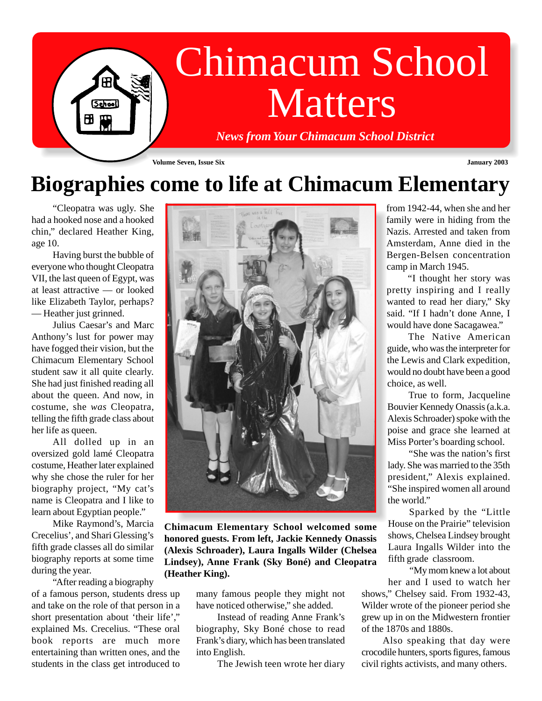

## **Biographies come to life at Chimacum Elementary**

"Cleopatra was ugly. She had a hooked nose and a hooked chin," declared Heather King, age 10.

Having burst the bubble of everyone who thought Cleopatra VII, the last queen of Egypt, was at least attractive — or looked like Elizabeth Taylor, perhaps? — Heather just grinned.

Julius Caesar's and Marc Anthony's lust for power may have fogged their vision, but the Chimacum Elementary School student saw it all quite clearly. She had just finished reading all about the queen. And now, in costume, she *was* Cleopatra, telling the fifth grade class about her life as queen.

All dolled up in an oversized gold lamé Cleopatra costume, Heather later explained why she chose the ruler for her biography project, "My cat's name is Cleopatra and I like to learn about Egyptian people."

Mike Raymond's, Marcia Crecelius', and Shari Glessing's fifth grade classes all do similar biography reports at some time during the year.

"After reading a biography of a famous person, students dress up and take on the role of that person in a short presentation about 'their life'," explained Ms. Crecelius. "These oral book reports are much more entertaining than written ones, and the students in the class get introduced to



**Chimacum Elementary School welcomed some honored guests. From left, Jackie Kennedy Onassis (Alexis Schroader), Laura Ingalls Wilder (Chelsea Lindsey), Anne Frank (Sky Boné) and Cleopatra (Heather King).**

many famous people they might not have noticed otherwise," she added.

Instead of reading Anne Frank's biography, Sky Boné chose to read Frank's diary, which has been translated into English.

The Jewish teen wrote her diary

from 1942-44, when she and her family were in hiding from the Nazis. Arrested and taken from Amsterdam, Anne died in the Bergen-Belsen concentration camp in March 1945.

"I thought her story was pretty inspiring and I really wanted to read her diary," Sky said. "If I hadn't done Anne, I would have done Sacagawea."

The Native American guide, who was the interpreter for the Lewis and Clark expedition, would no doubt have been a good choice, as well.

True to form, Jacqueline Bouvier Kennedy Onassis (a.k.a. Alexis Schroader) spoke with the poise and grace she learned at Miss Porter's boarding school.

"She was the nation's first lady. She was married to the 35th president," Alexis explained. "She inspired women all around the world."

Sparked by the "Little House on the Prairie" television shows, Chelsea Lindsey brought Laura Ingalls Wilder into the fifth grade classroom.

"My mom knew a lot about her and I used to watch her

shows," Chelsey said. From 1932-43, Wilder wrote of the pioneer period she grew up in on the Midwestern frontier of the 1870s and 1880s.

Also speaking that day were crocodile hunters, sports figures, famous civil rights activists, and many others.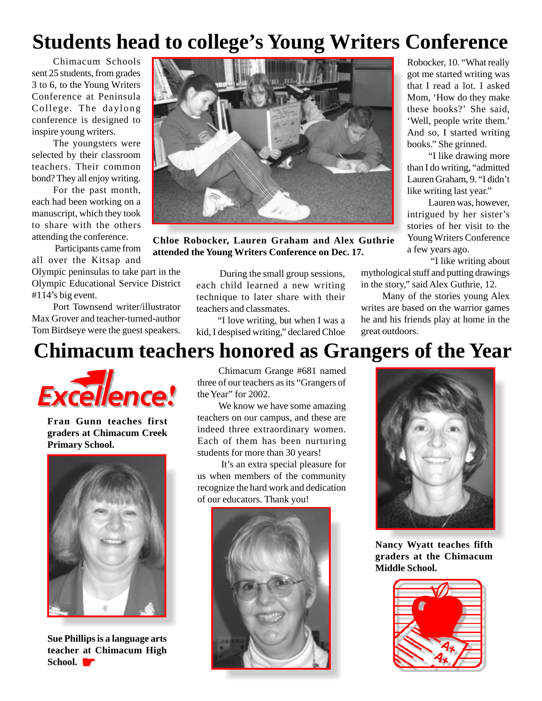## **Students head to college's Young Writers Conference**

Chimacum Schools sent 25 students, from grades 3 to 6, to the Young Writers Conference at Peninsula College. The daylong conference is designed to inspire young writers.

The youngsters were selected by their classroom teachers. Their common bond? They all enjoy writing.

For the past month, each had been working on a manuscript, which they took to share with the others attending the conference.

 Participants came from all over the Kitsap and

Olympic peninsulas to take part in the Olympic Educational Service District #114's big event.

Port Townsend writer/illustrator Max Grover and teacher-turned-author Tom Birdseye were the guest speakers.



**Chloe Robocker, Lauren Graham and Alex Guthrie attended the Young Writers Conference on Dec. 17.**

 During the small group sessions, each child learned a new writing technique to later share with their teachers and classmates.

"I love writing, but when I was a kid, I despised writing," declared Chloe

Robocker, 10. "What really got me started writing was that I read a lot. I asked Mom, 'How do they make these books?' She said, 'Well, people write them.' And so, I started writing books." She grinned.

"I like drawing more than I do writing, "admitted Lauren Graham, 9. "I didn't like writing last year."

Lauren was, however, intrigued by her sister's stories of her visit to the Young Writers Conference a few years ago.

 "I like writing about mythological stuff and putting drawings in the story," said Alex Guthrie, 12.

Many of the stories young Alex writes are based on the warrior games he and his friends play at home in the great outdoors.

## **Chimacum teachers honored as Grangers of the Year**



**Fran Gunn teaches first graders at Chimacum Creek Primary School.**



**Sue Phillips is a language arts teacher at Chimacum High** School.

Chimacum Grange #681 named three of our teachers as its "Grangers of the Year" for 2002.

We know we have some amazing teachers on our campus, and these are indeed three extraordinary women. Each of them has been nurturing students for more than 30 years!

 It's an extra special pleasure for us when members of the community recognize the hard work and dedication of our educators. Thank you!





**Nancy Wyatt teaches fifth graders at the Chimacum Middle School.**

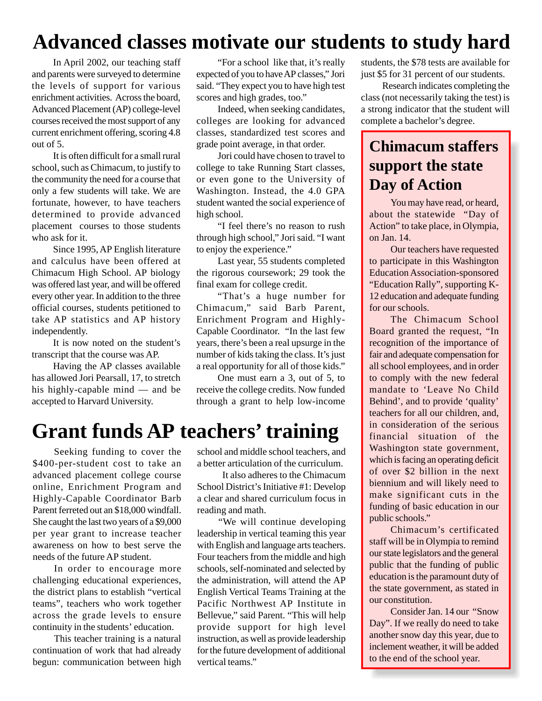## **Advanced classes motivate our students to study hard**

In April 2002, our teaching staff and parents were surveyed to determine the levels of support for various enrichment activities. Across the board, Advanced Placement (AP) college-level courses received the most support of any current enrichment offering, scoring 4.8 out of 5.

It is often difficult for a small rural school, such as Chimacum, to justify to the community the need for a course that only a few students will take. We are fortunate, however, to have teachers determined to provide advanced placement courses to those students who ask for it.

Since 1995, AP English literature and calculus have been offered at Chimacum High School. AP biology was offered last year, and will be offered every other year. In addition to the three official courses, students petitioned to take AP statistics and AP history independently.

It is now noted on the student's transcript that the course was AP.

Having the AP classes available has allowed Jori Pearsall, 17, to stretch his highly-capable mind — and be accepted to Harvard University.

"For a school like that, it's really expected of you to have AP classes," Jori said. "They expect you to have high test scores and high grades, too."

Indeed, when seeking candidates, colleges are looking for advanced classes, standardized test scores and grade point average, in that order.

Jori could have chosen to travel to college to take Running Start classes, or even gone to the University of Washington. Instead, the 4.0 GPA student wanted the social experience of high school.

"I feel there's no reason to rush through high school," Jori said. "I want to enjoy the experience."

Last year, 55 students completed the rigorous coursework; 29 took the final exam for college credit.

"That's a huge number for Chimacum," said Barb Parent, Enrichment Program and Highly-Capable Coordinator. "In the last few years, there's been a real upsurge in the number of kids taking the class. It's just a real opportunity for all of those kids."

One must earn a 3, out of 5, to receive the college credits. Now funded through a grant to help low-income

### **Grant funds AP teachers' training**

Seeking funding to cover the \$400-per-student cost to take an advanced placement college course online, Enrichment Program and Highly-Capable Coordinator Barb Parent ferreted out an \$18,000 windfall. She caught the last two years of a \$9,000 per year grant to increase teacher awareness on how to best serve the needs of the future AP student.

In order to encourage more challenging educational experiences, the district plans to establish "vertical teams", teachers who work together across the grade levels to ensure continuity in the students' education.

This teacher training is a natural continuation of work that had already begun: communication between high school and middle school teachers, and a better articulation of the curriculum.

 It also adheres to the Chimacum School District's Initiative #1: Develop a clear and shared curriculum focus in reading and math.

"We will continue developing leadership in vertical teaming this year with English and language arts teachers. Four teachers from the middle and high schools, self-nominated and selected by the administration, will attend the AP English Vertical Teams Training at the Pacific Northwest AP Institute in Bellevue," said Parent. "This will help provide support for high level instruction, as well as provide leadership for the future development of additional vertical teams."

students, the \$78 tests are available for just \$5 for 31 percent of our students.

Research indicates completing the class (not necessarily taking the test) is a strong indicator that the student will complete a bachelor's degree.

#### **Chimacum staffers support the state Day of Action**

You may have read, or heard, about the statewide "Day of Action" to take place, in Olympia, on Jan. 14.

Our teachers have requested to participate in this Washington Education Association-sponsored "Education Rally", supporting K-12 education and adequate funding for our schools.

The Chimacum School Board granted the request, "In recognition of the importance of fair and adequate compensation for all school employees, and in order to comply with the new federal mandate to 'Leave No Child Behind', and to provide 'quality' teachers for all our children, and, in consideration of the serious financial situation of the Washington state government, which is facing an operating deficit of over \$2 billion in the next biennium and will likely need to make significant cuts in the funding of basic education in our public schools."

Chimacum's certificated staff will be in Olympia to remind our state legislators and the general public that the funding of public education is the paramount duty of the state government, as stated in our constitution.

Consider Jan. 14 our "Snow Day". If we really do need to take another snow day this year, due to inclement weather, it will be added to the end of the school year.